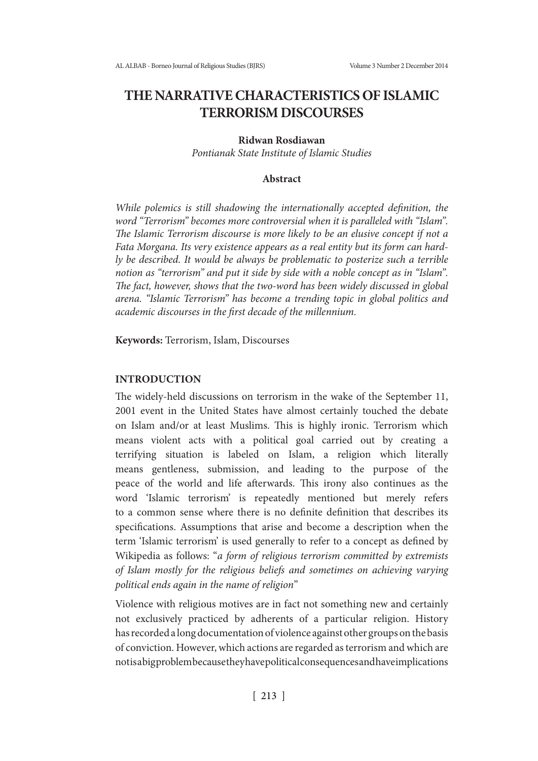# **THE NARRATIVE CHARACTERISTICS OF ISLAMIC TERRORISM DISCOURSES**

## **Ridwan Rosdiawan**

*Pontianak State Institute of Islamic Studies*

### **Abstract**

*While polemics is still shadowing the internationally accepted definition, the word "Terrorism" becomes more controversial when it is paralleled with "Islam". The Islamic Terrorism discourse is more likely to be an elusive concept if not a Fata Morgana. Its very existence appears as a real entity but its form can hardly be described. It would be always be problematic to posterize such a terrible notion as "terrorism" and put it side by side with a noble concept as in "Islam". The fact, however, shows that the two-word has been widely discussed in global arena. "Islamic Terrorism" has become a trending topic in global politics and academic discourses in the first decade of the millennium.*

**Keywords:** Terrorism, Islam, Discourses

#### **INTRODUCTION**

The widely-held discussions on terrorism in the wake of the September 11, 2001 event in the United States have almost certainly touched the debate on Islam and/or at least Muslims. This is highly ironic. Terrorism which means violent acts with a political goal carried out by creating a terrifying situation is labeled on Islam, a religion which literally means gentleness, submission, and leading to the purpose of the peace of the world and life afterwards. This irony also continues as the word 'Islamic terrorism' is repeatedly mentioned but merely refers to a common sense where there is no definite definition that describes its specifications. Assumptions that arise and become a description when the term 'Islamic terrorism' is used generally to refer to a concept as defined by Wikipedia as follows: "*a form of religious terrorism committed by extremists of Islam mostly for the religious beliefs and sometimes on achieving varying political ends again in the name of religion*"

Violence with religious motives are in fact not something new and certainly not exclusively practiced by adherents of a particular religion. History has recorded a long documentation of violence against other groups on the basis of conviction. However, which actions are regarded as terrorism and which are not is a big problem because they have political consequences and have implications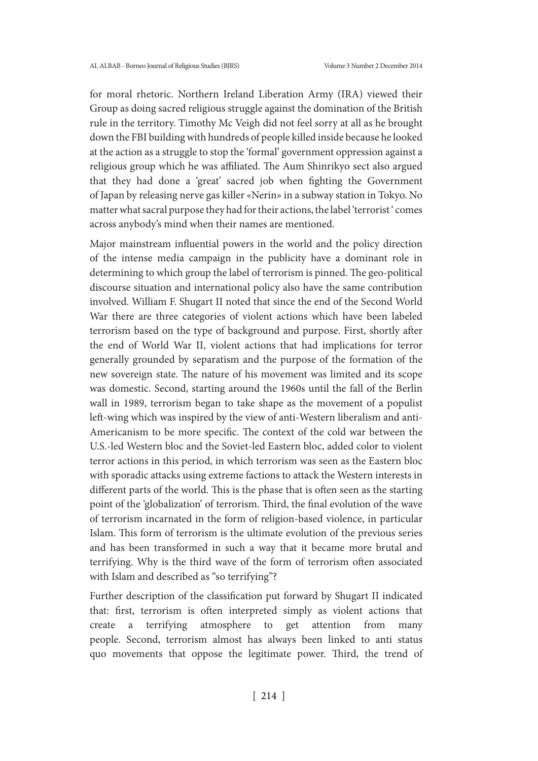for moral rhetoric. Northern Ireland Liberation Army (IRA) viewed their Group as doing sacred religious struggle against the domination of the British rule in the territory. Timothy Mc Veigh did not feel sorry at all as he brought down the FBI building with hundreds of people killed inside because he looked at the action as a struggle to stop the 'formal' government oppression against a religious group which he was affiliated. The Aum Shinrikyo sect also argued that they had done a 'great' sacred job when fighting the Government of Japan by releasing nerve gas killer «Nerin» in a subway station in Tokyo. No matter what sacral purpose they had for their actions, the label 'terrorist' comes across anybody's mind when their names are mentioned.

Major mainstream influential powers in the world and the policy direction of the intense media campaign in the publicity have a dominant role in determining to which group the label of terrorism is pinned. The geo-political discourse situation and international policy also have the same contribution involved. William F. Shugart II noted that since the end of the Second World War there are three categories of violent actions which have been labeled terrorism based on the type of background and purpose. First, shortly after the end of World War II, violent actions that had implications for terror generally grounded by separatism and the purpose of the formation of the new sovereign state. The nature of his movement was limited and its scope was domestic. Second, starting around the 1960s until the fall of the Berlin wall in 1989, terrorism began to take shape as the movement of a populist left-wing which was inspired by the view of anti-Western liberalism and anti-Americanism to be more specific. The context of the cold war between the U.S.-led Western bloc and the Soviet-led Eastern bloc, added color to violent terror actions in this period, in which terrorism was seen as the Eastern bloc with sporadic attacks using extreme factions to attack the Western interests in different parts of the world. This is the phase that is often seen as the starting point of the 'globalization' of terrorism. Third, the final evolution of the wave of terrorism incarnated in the form of religion-based violence, in particular Islam. This form of terrorism is the ultimate evolution of the previous series and has been transformed in such a way that it became more brutal and terrifying. Why is the third wave of the form of terrorism often associated with Islam and described as "so terrifying"?

Further description of the classification put forward by Shugart II indicated that: first, terrorism is often interpreted simply as violent actions that create a terrifying atmosphere to get attention from many people. Second, terrorism almost has always been linked to anti status quo movements that oppose the legitimate power. Third, the trend of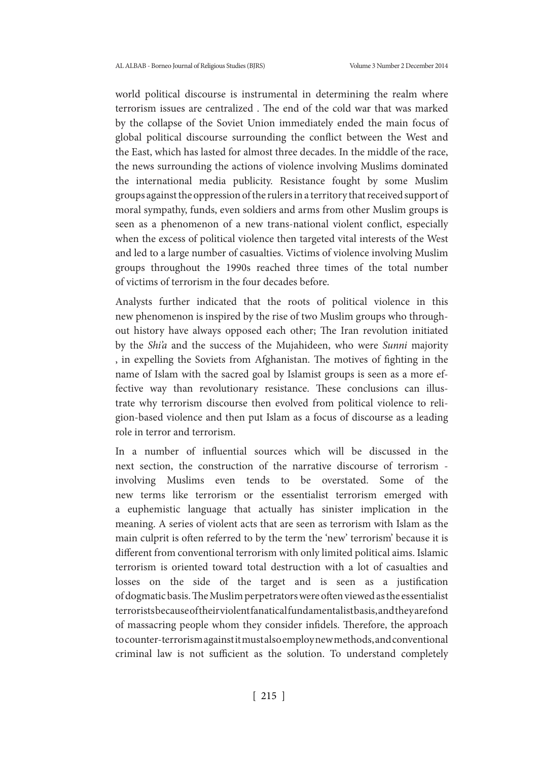world political discourse is instrumental in determining the realm where terrorism issues are centralized . The end of the cold war that was marked by the collapse of the Soviet Union immediately ended the main focus of global political discourse surrounding the conflict between the West and the East, which has lasted for almost three decades. In the middle of the race, the news surrounding the actions of violence involving Muslims dominated the international media publicity. Resistance fought by some Muslim groups against the oppression of the rulers in a territory that received support of moral sympathy, funds, even soldiers and arms from other Muslim groups is seen as a phenomenon of a new trans-national violent conflict, especially when the excess of political violence then targeted vital interests of the West and led to a large number of casualties. Victims of violence involving Muslim groups throughout the 1990s reached three times of the total number of victims of terrorism in the four decades before.

Analysts further indicated that the roots of political violence in this new phenomenon is inspired by the rise of two Muslim groups who throughout history have always opposed each other; The Iran revolution initiated by the *Shi'a* and the success of the Mujahideen, who were *Sunni* majority , in expelling the Soviets from Afghanistan. The motives of fighting in the name of Islam with the sacred goal by Islamist groups is seen as a more effective way than revolutionary resistance. These conclusions can illustrate why terrorism discourse then evolved from political violence to religion-based violence and then put Islam as a focus of discourse as a leading role in terror and terrorism.

In a number of influential sources which will be discussed in the next section, the construction of the narrative discourse of terrorism involving Muslims even tends to be overstated. Some of the new terms like terrorism or the essentialist terrorism emerged with a euphemistic language that actually has sinister implication in the meaning. A series of violent acts that are seen as terrorism with Islam as the main culprit is often referred to by the term the 'new' terrorism' because it is different from conventional terrorism with only limited political aims. Islamic terrorism is oriented toward total destruction with a lot of casualties and losses on the side of the target and is seen as a justification of dogmatic basis. The Muslim perpetrators were often viewed as the essentialist terrorists because of their violent fanatical fundamentalist basis, and they are fond of massacring people whom they consider infidels. Therefore, the approach to counter-terrorism against it must also employ new methods, and conventional criminal law is not sufficient as the solution. To understand completely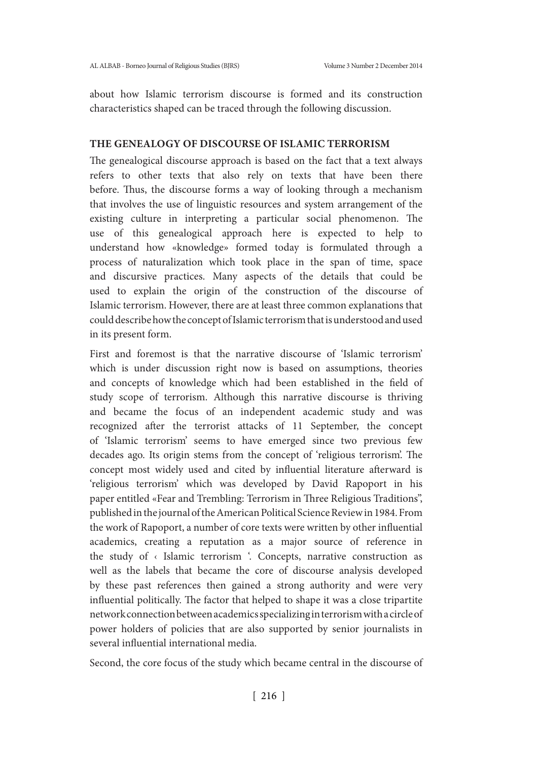about how Islamic terrorism discourse is formed and its construction characteristics shaped can be traced through the following discussion.

## **THE GENEALOGY OF DISCOURSE OF ISLAMIC TERRORISM**

The genealogical discourse approach is based on the fact that a text always refers to other texts that also rely on texts that have been there before. Thus, the discourse forms a way of looking through a mechanism that involves the use of linguistic resources and system arrangement of the existing culture in interpreting a particular social phenomenon. The use of this genealogical approach here is expected to help to understand how «knowledge» formed today is formulated through a process of naturalization which took place in the span of time, space and discursive practices. Many aspects of the details that could be used to explain the origin of the construction of the discourse of Islamic terrorism. However, there are at least three common explanations that could describe how the concept of Islamic terrorism that is understood and used in its present form.

First and foremost is that the narrative discourse of 'Islamic terrorism' which is under discussion right now is based on assumptions, theories and concepts of knowledge which had been established in the field of study scope of terrorism. Although this narrative discourse is thriving and became the focus of an independent academic study and was recognized after the terrorist attacks of 11 September, the concept of 'Islamic terrorism' seems to have emerged since two previous few decades ago. Its origin stems from the concept of 'religious terrorism'. The concept most widely used and cited by influential literature afterward is 'religious terrorism' which was developed by David Rapoport in his paper entitled «Fear and Trembling: Terrorism in Three Religious Traditions", published in the journal of the American Political Science Review in 1984. From the work of Rapoport, a number of core texts were written by other influential academics, creating a reputation as a major source of reference in the study of  $\left\langle \right\rangle$  Islamic terrorism  $\left\langle \right\rangle$ . Concepts, narrative construction as well as the labels that became the core of discourse analysis developed by these past references then gained a strong authority and were very influential politically. The factor that helped to shape it was a close tripartite network connection between academics specializing in terrorism with a circle of power holders of policies that are also supported by senior journalists in several influential international media.

Second, the core focus of the study which became central in the discourse of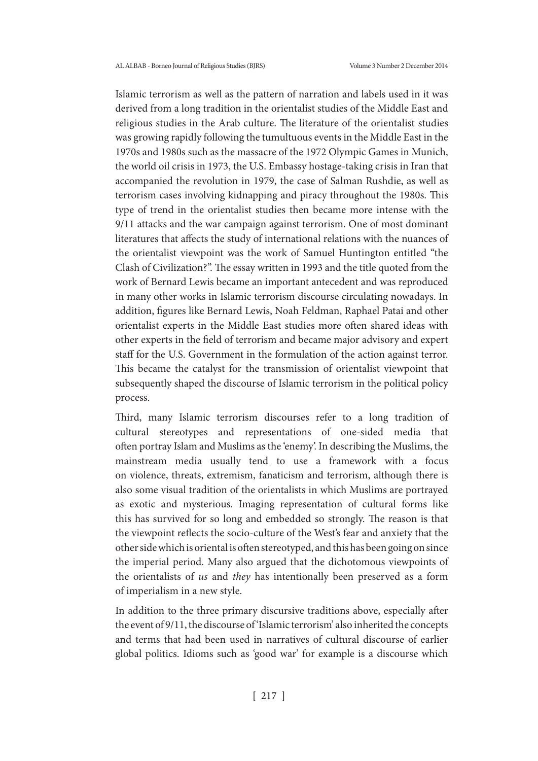Islamic terrorism as well as the pattern of narration and labels used in it was derived from a long tradition in the orientalist studies of the Middle East and religious studies in the Arab culture. The literature of the orientalist studies was growing rapidly following the tumultuous events in the Middle East in the 1970s and 1980s such as the massacre of the 1972 Olympic Games in Munich, the world oil crisis in 1973, the U.S. Embassy hostage-taking crisis in Iran that accompanied the revolution in 1979, the case of Salman Rushdie, as well as terrorism cases involving kidnapping and piracy throughout the 1980s. This type of trend in the orientalist studies then became more intense with the 9/11 attacks and the war campaign against terrorism. One of most dominant literatures that affects the study of international relations with the nuances of the orientalist viewpoint was the work of Samuel Huntington entitled "the Clash of Civilization?". The essay written in 1993 and the title quoted from the work of Bernard Lewis became an important antecedent and was reproduced in many other works in Islamic terrorism discourse circulating nowadays. In addition, figures like Bernard Lewis, Noah Feldman, Raphael Patai and other orientalist experts in the Middle East studies more often shared ideas with other experts in the field of terrorism and became major advisory and expert staff for the U.S. Government in the formulation of the action against terror. This became the catalyst for the transmission of orientalist viewpoint that subsequently shaped the discourse of Islamic terrorism in the political policy process.

Third, many Islamic terrorism discourses refer to a long tradition of cultural stereotypes and representations of one-sided media that often portray Islam and Muslims as the 'enemy'. In describing the Muslims, the mainstream media usually tend to use a framework with a focus on violence, threats, extremism, fanaticism and terrorism, although there is also some visual tradition of the orientalists in which Muslims are portrayed as exotic and mysterious. Imaging representation of cultural forms like this has survived for so long and embedded so strongly. The reason is that the viewpoint reflects the socio-culture of the West's fear and anxiety that the other side which is oriental is often stereotyped, and this has been going on since the imperial period. Many also argued that the dichotomous viewpoints of the orientalists of *us* and *they* has intentionally been preserved as a form of imperialism in a new style.

In addition to the three primary discursive traditions above, especially after the event of 9/11, the discourse of 'Islamic terrorism' also inherited the concepts and terms that had been used in narratives of cultural discourse of earlier global politics. Idioms such as 'good war' for example is a discourse which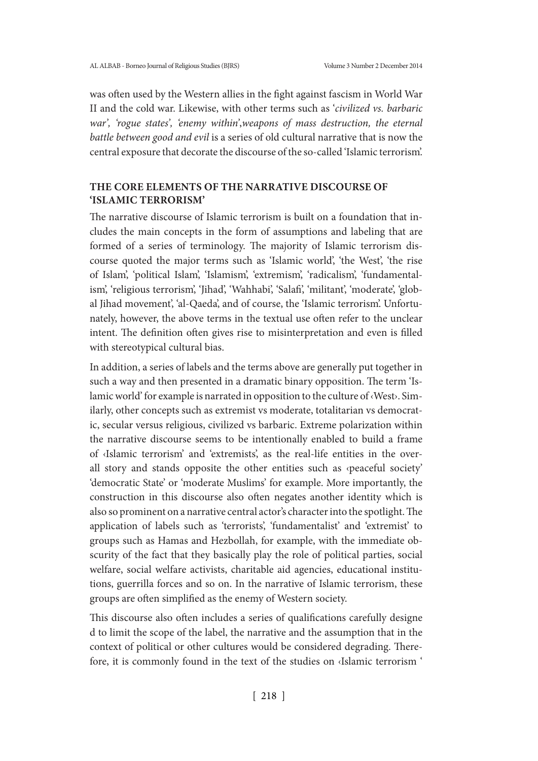was often used by the Western allies in the fight against fascism in World War II and the cold war. Likewise, with other terms such as '*civilized vs. barbaric war', 'rogue states', 'enemy within'*,*weapons of mass destruction, the eternal battle between good and evil* is a series of old cultural narrative that is now the central exposure that decorate the discourse of the so-called 'Islamic terrorism'.

## **THE CORE ELEMENTS OF THE NARRATIVE DISCOURSE OF 'ISLAMIC TERRORISM'**

The narrative discourse of Islamic terrorism is built on a foundation that includes the main concepts in the form of assumptions and labeling that are formed of a series of terminology. The majority of Islamic terrorism discourse quoted the major terms such as 'Islamic world', 'the West', 'the rise of Islam', 'political Islam', 'Islamism', 'extremism', 'radicalism', 'fundamentalism', 'religious terrorism', 'Jihad', 'Wahhabi', 'Salafi', 'militant', 'moderate', 'global Jihad movement', 'al-Qaeda', and of course, the 'Islamic terrorism'. Unfortunately, however, the above terms in the textual use often refer to the unclear intent. The definition often gives rise to misinterpretation and even is filled with stereotypical cultural bias.

In addition, a series of labels and the terms above are generally put together in such a way and then presented in a dramatic binary opposition. The term 'Islamic world' for example is narrated in opposition to the culture of ‹West›. Similarly, other concepts such as extremist vs moderate, totalitarian vs democratic, secular versus religious, civilized vs barbaric. Extreme polarization within the narrative discourse seems to be intentionally enabled to build a frame of ‹Islamic terrorism' and 'extremists', as the real-life entities in the overall story and stands opposite the other entities such as ‹peaceful society' 'democratic State' or 'moderate Muslims' for example. More importantly, the construction in this discourse also often negates another identity which is also so prominent on a narrative central actor's character into the spotlight. The application of labels such as 'terrorists', 'fundamentalist' and 'extremist' to groups such as Hamas and Hezbollah, for example, with the immediate obscurity of the fact that they basically play the role of political parties, social welfare, social welfare activists, charitable aid agencies, educational institutions, guerrilla forces and so on. In the narrative of Islamic terrorism, these groups are often simplified as the enemy of Western society.

This discourse also often includes a series of qualifications carefully designe d to limit the scope of the label, the narrative and the assumption that in the context of political or other cultures would be considered degrading. Therefore, it is commonly found in the text of the studies on ‹Islamic terrorism '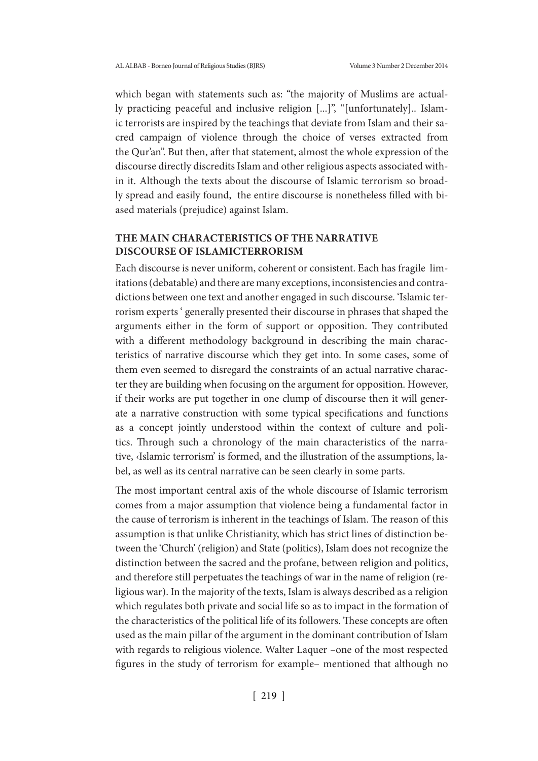which began with statements such as: "the majority of Muslims are actually practicing peaceful and inclusive religion [...]", "[unfortunately].. Islamic terrorists are inspired by the teachings that deviate from Islam and their sacred campaign of violence through the choice of verses extracted from the Qur'an". But then, after that statement, almost the whole expression of the discourse directly discredits Islam and other religious aspects associated within it. Although the texts about the discourse of Islamic terrorism so broadly spread and easily found, the entire discourse is nonetheless filled with biased materials (prejudice) against Islam.

# **THE MAIN CHARACTERISTICS OF THE NARRATIVE DISCOURSE OF ISLAMICTERRORISM**

Each discourse is never uniform, coherent or consistent. Each has fragile limitations (debatable) and there are many exceptions, inconsistencies and contradictions between one text and another engaged in such discourse. 'Islamic terrorism experts ' generally presented their discourse in phrases that shaped the arguments either in the form of support or opposition. They contributed with a different methodology background in describing the main characteristics of narrative discourse which they get into. In some cases, some of them even seemed to disregard the constraints of an actual narrative character they are building when focusing on the argument for opposition. However, if their works are put together in one clump of discourse then it will generate a narrative construction with some typical specifications and functions as a concept jointly understood within the context of culture and politics. Through such a chronology of the main characteristics of the narrative, ‹Islamic terrorism' is formed, and the illustration of the assumptions, label, as well as its central narrative can be seen clearly in some parts.

The most important central axis of the whole discourse of Islamic terrorism comes from a major assumption that violence being a fundamental factor in the cause of terrorism is inherent in the teachings of Islam. The reason of this assumption is that unlike Christianity, which has strict lines of distinction between the 'Church' (religion) and State (politics), Islam does not recognize the distinction between the sacred and the profane, between religion and politics, and therefore still perpetuates the teachings of war in the name of religion (religious war). In the majority of the texts, Islam is always described as a religion which regulates both private and social life so as to impact in the formation of the characteristics of the political life of its followers. These concepts are often used as the main pillar of the argument in the dominant contribution of Islam with regards to religious violence. Walter Laquer –one of the most respected figures in the study of terrorism for example– mentioned that although no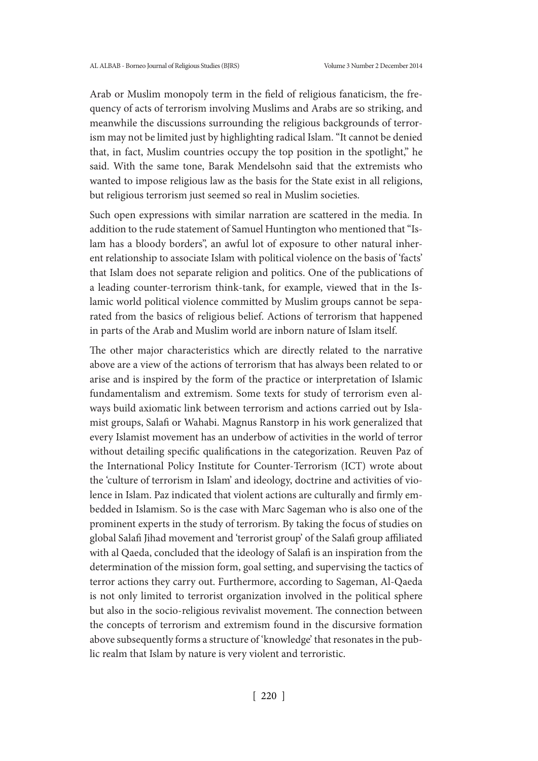Arab or Muslim monopoly term in the field of religious fanaticism, the frequency of acts of terrorism involving Muslims and Arabs are so striking, and meanwhile the discussions surrounding the religious backgrounds of terrorism may not be limited just by highlighting radical Islam. "It cannot be denied that, in fact, Muslim countries occupy the top position in the spotlight," he said. With the same tone, Barak Mendelsohn said that the extremists who wanted to impose religious law as the basis for the State exist in all religions, but religious terrorism just seemed so real in Muslim societies.

Such open expressions with similar narration are scattered in the media. In addition to the rude statement of Samuel Huntington who mentioned that "Islam has a bloody borders", an awful lot of exposure to other natural inherent relationship to associate Islam with political violence on the basis of 'facts' that Islam does not separate religion and politics. One of the publications of a leading counter-terrorism think-tank, for example, viewed that in the Islamic world political violence committed by Muslim groups cannot be separated from the basics of religious belief. Actions of terrorism that happened in parts of the Arab and Muslim world are inborn nature of Islam itself.

The other major characteristics which are directly related to the narrative above are a view of the actions of terrorism that has always been related to or arise and is inspired by the form of the practice or interpretation of Islamic fundamentalism and extremism. Some texts for study of terrorism even always build axiomatic link between terrorism and actions carried out by Islamist groups, Salafi or Wahabi. Magnus Ranstorp in his work generalized that every Islamist movement has an underbow of activities in the world of terror without detailing specific qualifications in the categorization. Reuven Paz of the International Policy Institute for Counter-Terrorism (ICT) wrote about the 'culture of terrorism in Islam' and ideology, doctrine and activities of violence in Islam. Paz indicated that violent actions are culturally and firmly embedded in Islamism. So is the case with Marc Sageman who is also one of the prominent experts in the study of terrorism. By taking the focus of studies on global Salafi Jihad movement and 'terrorist group' of the Salafi group affiliated with al Qaeda, concluded that the ideology of Salafi is an inspiration from the determination of the mission form, goal setting, and supervising the tactics of terror actions they carry out. Furthermore, according to Sageman, Al-Qaeda is not only limited to terrorist organization involved in the political sphere but also in the socio-religious revivalist movement. The connection between the concepts of terrorism and extremism found in the discursive formation above subsequently forms a structure of 'knowledge' that resonates in the public realm that Islam by nature is very violent and terroristic.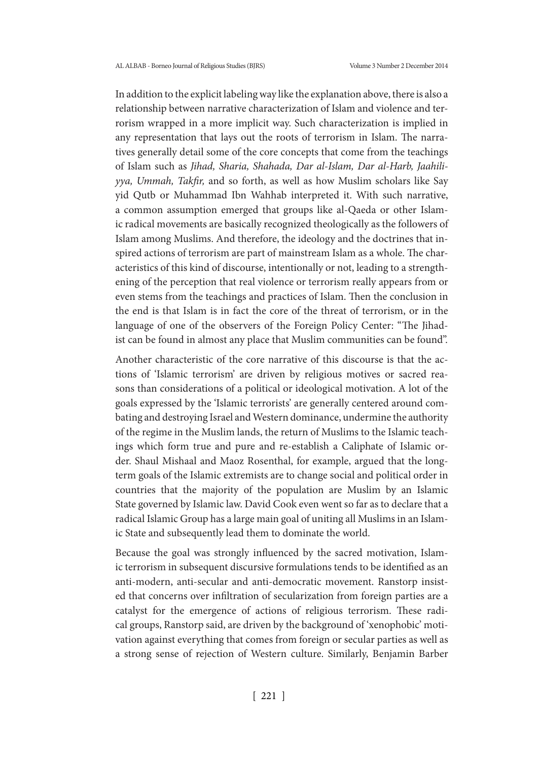In addition to the explicit labeling way like the explanation above, there is also a relationship between narrative characterization of Islam and violence and terrorism wrapped in a more implicit way. Such characterization is implied in any representation that lays out the roots of terrorism in Islam. The narratives generally detail some of the core concepts that come from the teachings of Islam such as *Jihad, Sharia, Shahada, Dar al-Islam, Dar al-Harb, Jaahiliyya, Ummah, Takfir,* and so forth, as well as how Muslim scholars like Say yid Qutb or Muhammad Ibn Wahhab interpreted it. With such narrative, a common assumption emerged that groups like al-Qaeda or other Islamic radical movements are basically recognized theologically as the followers of Islam among Muslims. And therefore, the ideology and the doctrines that inspired actions of terrorism are part of mainstream Islam as a whole. The characteristics of this kind of discourse, intentionally or not, leading to a strengthening of the perception that real violence or terrorism really appears from or even stems from the teachings and practices of Islam. Then the conclusion in the end is that Islam is in fact the core of the threat of terrorism, or in the language of one of the observers of the Foreign Policy Center: "The Jihadist can be found in almost any place that Muslim communities can be found".

Another characteristic of the core narrative of this discourse is that the actions of 'Islamic terrorism' are driven by religious motives or sacred reasons than considerations of a political or ideological motivation. A lot of the goals expressed by the 'Islamic terrorists' are generally centered around combating and destroying Israel and Western dominance, undermine the authority of the regime in the Muslim lands, the return of Muslims to the Islamic teachings which form true and pure and re-establish a Caliphate of Islamic order. Shaul Mishaal and Maoz Rosenthal, for example, argued that the longterm goals of the Islamic extremists are to change social and political order in countries that the majority of the population are Muslim by an Islamic State governed by Islamic law. David Cook even went so far as to declare that a radical Islamic Group has a large main goal of uniting all Muslims in an Islamic State and subsequently lead them to dominate the world.

Because the goal was strongly influenced by the sacred motivation, Islamic terrorism in subsequent discursive formulations tends to be identified as an anti-modern, anti-secular and anti-democratic movement. Ranstorp insisted that concerns over infiltration of secularization from foreign parties are a catalyst for the emergence of actions of religious terrorism. These radical groups, Ranstorp said, are driven by the background of 'xenophobic' motivation against everything that comes from foreign or secular parties as well as a strong sense of rejection of Western culture. Similarly, Benjamin Barber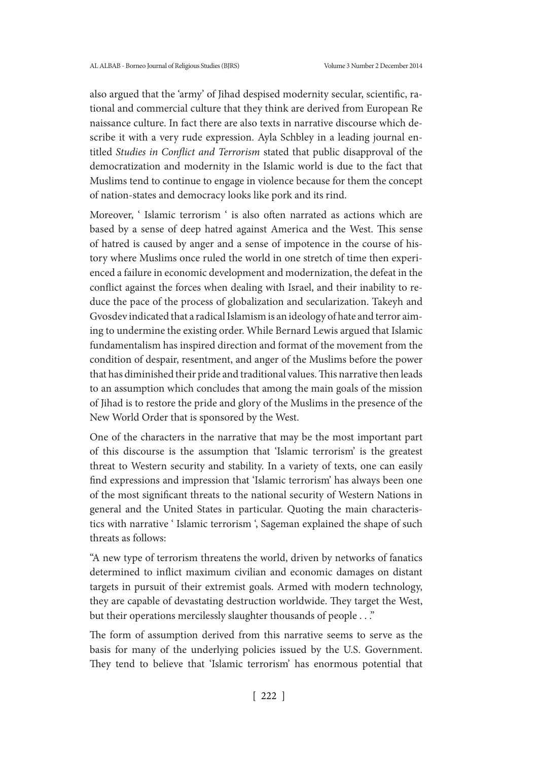also argued that the 'army' of Jihad despised modernity secular, scientific, rational and commercial culture that they think are derived from European Re naissance culture. In fact there are also texts in narrative discourse which describe it with a very rude expression. Ayla Schbley in a leading journal entitled *Studies in Conflict and Terrorism* stated that public disapproval of the democratization and modernity in the Islamic world is due to the fact that Muslims tend to continue to engage in violence because for them the concept of nation-states and democracy looks like pork and its rind.

Moreover, ' Islamic terrorism ' is also often narrated as actions which are based by a sense of deep hatred against America and the West. This sense of hatred is caused by anger and a sense of impotence in the course of history where Muslims once ruled the world in one stretch of time then experienced a failure in economic development and modernization, the defeat in the conflict against the forces when dealing with Israel, and their inability to reduce the pace of the process of globalization and secularization. Takeyh and Gvosdev indicated that a radical Islamism is an ideology of hate and terror aiming to undermine the existing order. While Bernard Lewis argued that Islamic fundamentalism has inspired direction and format of the movement from the condition of despair, resentment, and anger of the Muslims before the power that has diminished their pride and traditional values. This narrative then leads to an assumption which concludes that among the main goals of the mission of Jihad is to restore the pride and glory of the Muslims in the presence of the New World Order that is sponsored by the West.

One of the characters in the narrative that may be the most important part of this discourse is the assumption that 'Islamic terrorism' is the greatest threat to Western security and stability. In a variety of texts, one can easily find expressions and impression that 'Islamic terrorism' has always been one of the most significant threats to the national security of Western Nations in general and the United States in particular. Quoting the main characteristics with narrative ' Islamic terrorism ', Sageman explained the shape of such threats as follows:

"A new type of terrorism threatens the world, driven by networks of fanatics determined to inflict maximum civilian and economic damages on distant targets in pursuit of their extremist goals. Armed with modern technology, they are capable of devastating destruction worldwide. They target the West, but their operations mercilessly slaughter thousands of people . . ."

The form of assumption derived from this narrative seems to serve as the basis for many of the underlying policies issued by the U.S. Government. They tend to believe that 'Islamic terrorism' has enormous potential that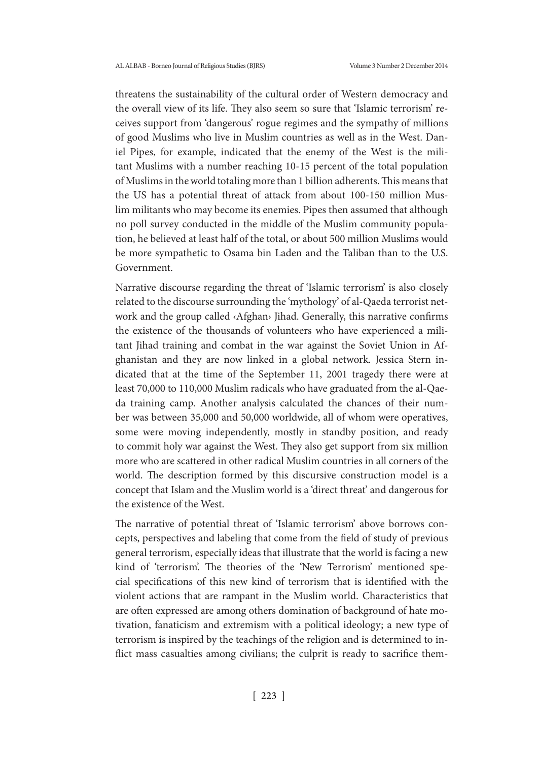threatens the sustainability of the cultural order of Western democracy and the overall view of its life. They also seem so sure that 'Islamic terrorism' receives support from 'dangerous' rogue regimes and the sympathy of millions of good Muslims who live in Muslim countries as well as in the West. Daniel Pipes, for example, indicated that the enemy of the West is the militant Muslims with a number reaching 10-15 percent of the total population of Muslims in the world totaling more than 1 billion adherents. This means that the US has a potential threat of attack from about 100-150 million Muslim militants who may become its enemies. Pipes then assumed that although no poll survey conducted in the middle of the Muslim community population, he believed at least half of the total, or about 500 million Muslims would be more sympathetic to Osama bin Laden and the Taliban than to the U.S. Government.

Narrative discourse regarding the threat of 'Islamic terrorism' is also closely related to the discourse surrounding the 'mythology' of al-Qaeda terrorist network and the group called ‹Afghan› Jihad. Generally, this narrative confirms the existence of the thousands of volunteers who have experienced a militant Jihad training and combat in the war against the Soviet Union in Afghanistan and they are now linked in a global network. Jessica Stern indicated that at the time of the September 11, 2001 tragedy there were at least 70,000 to 110,000 Muslim radicals who have graduated from the al-Qaeda training camp. Another analysis calculated the chances of their number was between 35,000 and 50,000 worldwide, all of whom were operatives, some were moving independently, mostly in standby position, and ready to commit holy war against the West. They also get support from six million more who are scattered in other radical Muslim countries in all corners of the world. The description formed by this discursive construction model is a concept that Islam and the Muslim world is a 'direct threat' and dangerous for the existence of the West.

The narrative of potential threat of 'Islamic terrorism' above borrows concepts, perspectives and labeling that come from the field of study of previous general terrorism, especially ideas that illustrate that the world is facing a new kind of 'terrorism'. The theories of the 'New Terrorism' mentioned special specifications of this new kind of terrorism that is identified with the violent actions that are rampant in the Muslim world. Characteristics that are often expressed are among others domination of background of hate motivation, fanaticism and extremism with a political ideology; a new type of terrorism is inspired by the teachings of the religion and is determined to inflict mass casualties among civilians; the culprit is ready to sacrifice them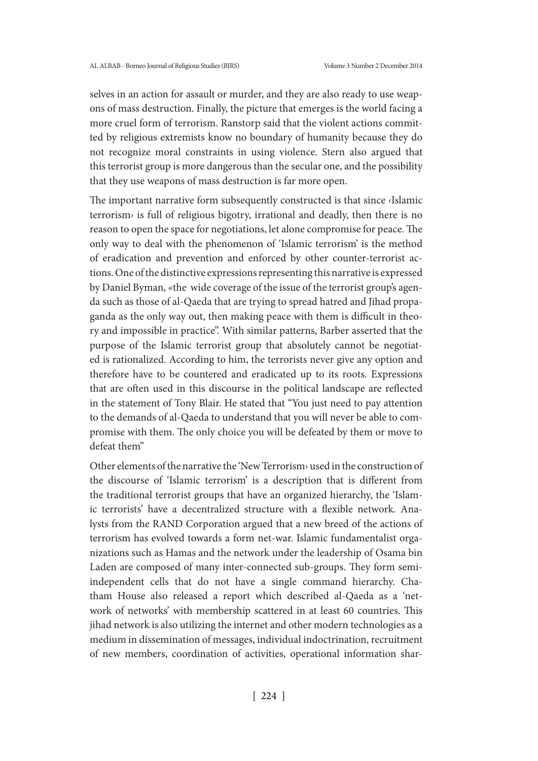selves in an action for assault or murder, and they are also ready to use weapons of mass destruction. Finally, the picture that emerges is the world facing a more cruel form of terrorism. Ranstorp said that the violent actions committed by religious extremists know no boundary of humanity because they do not recognize moral constraints in using violence. Stern also argued that this terrorist group is more dangerous than the secular one, and the possibility that they use weapons of mass destruction is far more open.

The important narrative form subsequently constructed is that since ‹Islamic terrorism› is full of religious bigotry, irrational and deadly, then there is no reason to open the space for negotiations, let alone compromise for peace. The only way to deal with the phenomenon of 'Islamic terrorism' is the method of eradication and prevention and enforced by other counter-terrorist actions. One of the distinctive expressions representing this narrative is expressed by Daniel Byman, «the wide coverage of the issue of the terrorist group's agenda such as those of al-Qaeda that are trying to spread hatred and Jihad propaganda as the only way out, then making peace with them is difficult in theory and impossible in practice". With similar patterns, Barber asserted that the purpose of the Islamic terrorist group that absolutely cannot be negotiated is rationalized. According to him, the terrorists never give any option and therefore have to be countered and eradicated up to its roots. Expressions that are often used in this discourse in the political landscape are reflected in the statement of Tony Blair. He stated that "You just need to pay attention to the demands of al-Qaeda to understand that you will never be able to compromise with them. The only choice you will be defeated by them or move to defeat them"

Other elements of the narrative the 'New Terrorism› used in the construction of the discourse of 'Islamic terrorism' is a description that is different from the traditional terrorist groups that have an organized hierarchy, the 'Islamic terrorists' have a decentralized structure with a flexible network. Analysts from the RAND Corporation argued that a new breed of the actions of terrorism has evolved towards a form net-war. Islamic fundamentalist organizations such as Hamas and the network under the leadership of Osama bin Laden are composed of many inter-connected sub-groups. They form semiindependent cells that do not have a single command hierarchy. Chatham House also released a report which described al-Qaeda as a 'network of networks' with membership scattered in at least 60 countries. This jihad network is also utilizing the internet and other modern technologies as a medium in dissemination of messages, individual indoctrination, recruitment of new members, coordination of activities, operational information shar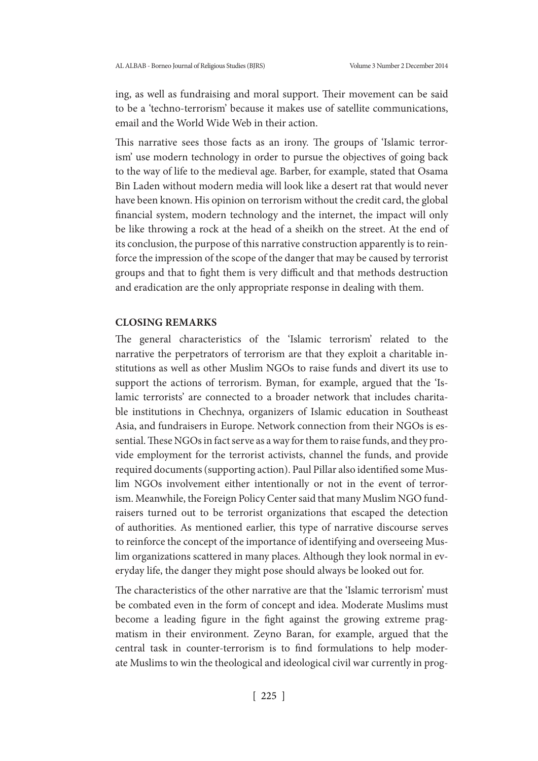ing, as well as fundraising and moral support. Their movement can be said to be a 'techno-terrorism' because it makes use of satellite communications, email and the World Wide Web in their action.

This narrative sees those facts as an irony. The groups of 'Islamic terrorism' use modern technology in order to pursue the objectives of going back to the way of life to the medieval age. Barber, for example, stated that Osama Bin Laden without modern media will look like a desert rat that would never have been known. His opinion on terrorism without the credit card, the global financial system, modern technology and the internet, the impact will only be like throwing a rock at the head of a sheikh on the street. At the end of its conclusion, the purpose of this narrative construction apparently is to reinforce the impression of the scope of the danger that may be caused by terrorist groups and that to fight them is very difficult and that methods destruction and eradication are the only appropriate response in dealing with them.

## **CLOSING REMARKS**

The general characteristics of the 'Islamic terrorism' related to the narrative the perpetrators of terrorism are that they exploit a charitable institutions as well as other Muslim NGOs to raise funds and divert its use to support the actions of terrorism. Byman, for example, argued that the 'Islamic terrorists' are connected to a broader network that includes charitable institutions in Chechnya, organizers of Islamic education in Southeast Asia, and fundraisers in Europe. Network connection from their NGOs is essential. These NGOs in fact serve as a way for them to raise funds, and they provide employment for the terrorist activists, channel the funds, and provide required documents (supporting action). Paul Pillar also identified some Muslim NGOs involvement either intentionally or not in the event of terrorism. Meanwhile, the Foreign Policy Center said that many Muslim NGO fundraisers turned out to be terrorist organizations that escaped the detection of authorities. As mentioned earlier, this type of narrative discourse serves to reinforce the concept of the importance of identifying and overseeing Muslim organizations scattered in many places. Although they look normal in everyday life, the danger they might pose should always be looked out for.

The characteristics of the other narrative are that the 'Islamic terrorism' must be combated even in the form of concept and idea. Moderate Muslims must become a leading figure in the fight against the growing extreme pragmatism in their environment. Zeyno Baran, for example, argued that the central task in counter-terrorism is to find formulations to help moderate Muslims to win the theological and ideological civil war currently in prog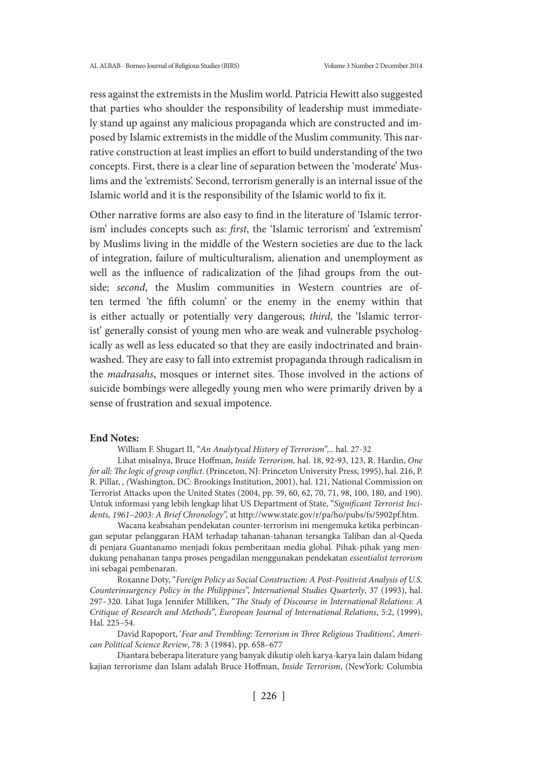ress against the extremists in the Muslim world. Patricia Hewitt also suggested that parties who shoulder the responsibility of leadership must immediately stand up against any malicious propaganda which are constructed and imposed by Islamic extremists in the middle of the Muslim community. This narrative construction at least implies an effort to build understanding of the two concepts. First, there is a clear line of separation between the 'moderate' Muslims and the 'extremists'. Second, terrorism generally is an internal issue of the Islamic world and it is the responsibility of the Islamic world to fix it.

Other narrative forms are also easy to find in the literature of 'Islamic terrorism' includes concepts such as: *first*, the 'Islamic terrorism' and 'extremism' by Muslims living in the middle of the Western societies are due to the lack of integration, failure of multiculturalism, alienation and unemployment as well as the influence of radicalization of the Jihad groups from the outside; *second*, the Muslim communities in Western countries are often termed 'the fifth column' or the enemy in the enemy within that is either actually or potentially very dangerous; *third*, the 'Islamic terrorist' generally consist of young men who are weak and vulnerable psychologically as well as less educated so that they are easily indoctrinated and brainwashed. They are easy to fall into extremist propaganda through radicalism in the *madrasahs*, mosques or internet sites. Those involved in the actions of suicide bombings were allegedly young men who were primarily driven by a sense of frustration and sexual impotence.

#### **End Notes:**

William F. Shugart II, "*An Analytycal History of Terrorism",..* hal. 27-32

 Lihat misalnya, Bruce Hoffman, *Inside Terrorism,* hal. 18, 92-93, 123, R. Hardin, *One for all: The logic of group conflict*. (Princeton, NJ: Princeton University Press, 1995), hal. 216, P. R. Pillar, *, (*Washington, DC: Brookings Institution, 2001), hal. 121, National Commission on Terrorist Attacks upon the United States (2004, pp. 59, 60, 62, 70, 71, 98, 100, 180, and 190). Untuk informasi yang lebih lengkap lihat US Department of State, "*Significant Terrorist Incidents, 1961–2003: A Brief Chronology*", at http://www.state.gov/r/pa/ho/pubs/fs/5902pf.htm.

 Wacana keabsahan pendekatan counter-terrorism ini mengemuka ketika perbincangan seputar pelanggaran HAM terhadap tahanan-tahanan tersangka Taliban dan al-Qaeda di penjara Guantanamo menjadi fokus pemberitaan media global. Pihak-pihak yang mendukung penahanan tanpa proses pengadilan menggunakan pendekatan *essentialist terrorism*  ini sebagai pembenaran.

 Roxanne Doty, "*Foreign Policy as Social Construction: A Post-Positivist Analysis of U.S. Counterinsurgency Policy in the Philippines*", *International Studies Quarterly*, 37 (1993), hal. 297–320. Lihat Juga Jennifer Milliken, "*The Study of Discourse in International Relations: A Critique of Research and Methods"*, *European Journal of International Relations*, 5:2, (1999), Hal. 225–54.

 David Rapoport, '*Fear and Trembling: Terrorism in Three Religious Traditions', American Political Science Review*, 78: 3 (1984), pp. 658–677

 Diantara beberapa literature yang banyak dikutip oleh karya-karya lain dalam bidang kajian terrorisme dan Islam adalah Bruce Hoffman, *Inside Terrorism*, (NewYork: Columbia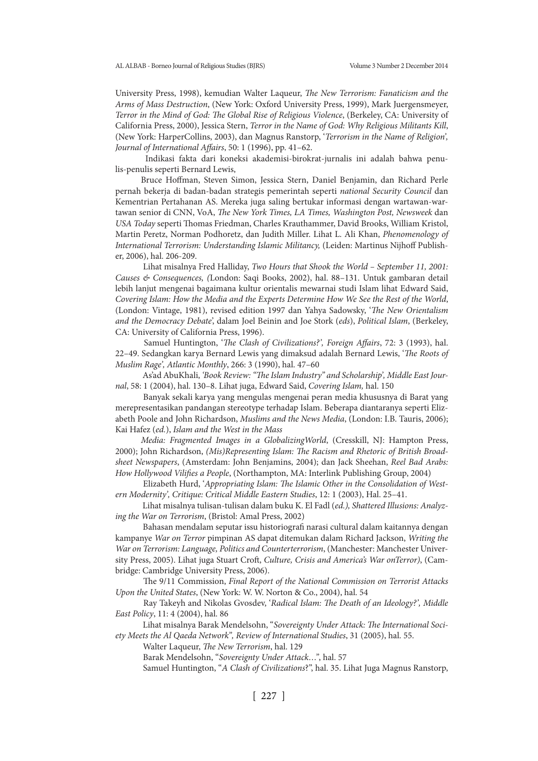University Press, 1998), kemudian Walter Laqueur, *The New Terrorism: Fanaticism and the Arms of Mass Destruction*, (New York: Oxford University Press, 1999), Mark Juergensmeyer, *Terror in the Mind of God: The Global Rise of Religious Violence*, (Berkeley, CA: University of California Press, 2000), Jessica Stern, *Terror in the Name of God: Why Religious Militants Kill*, (New York: HarperCollins, 2003), dan Magnus Ranstorp, '*Terrorism in the Name of Religion', Journal of International Affairs*, 50: 1 (1996), pp. 41–62.

 Indikasi fakta dari koneksi akademisi-birokrat-jurnalis ini adalah bahwa penulis-penulis seperti Bernard Lewis,

Bruce Hoffman, Steven Simon, Jessica Stern, Daniel Benjamin, dan Richard Perle pernah bekerja di badan-badan strategis pemerintah seperti *national Security Council* dan Kementrian Pertahanan AS. Mereka juga saling bertukar informasi dengan wartawan-wartawan senior di CNN, VoA, *The New York Times, LA Times, Washington Post, Newsweek* dan *USA Today* seperti Thomas Friedman, Charles Krauthammer, David Brooks, William Kristol, Martin Peretz, Norman Podhoretz, dan Judith Miller. Lihat L. Ali Khan, *Phenomenology of International Terrorism: Understanding Islamic Militancy,* (Leiden: Martinus Nijhoff Publisher, 2006), hal. 206-209.

 Lihat misalnya Fred Halliday, *Two Hours that Shook the World – September 11, 2001: Causes & Consequences, (*London: Saqi Books, 2002), hal. 88–131. Untuk gambaran detail lebih lanjut mengenai bagaimana kultur orientalis mewarnai studi Islam lihat Edward Said, *Covering Islam: How the Media and the Experts Determine How We See the Rest of the World*, (London: Vintage, 1981), revised edition 1997 dan Yahya Sadowsky, '*The New Orientalism and the Democracy Debate*', dalam Joel Beinin and Joe Stork (*eds*), *Political Islam*, (Berkeley, CA: University of California Press, 1996).

 Samuel Huntington, '*The Clash of Civilizations?', Foreign Affairs*, 72: 3 (1993), hal. 22–49. Sedangkan karya Bernard Lewis yang dimaksud adalah Bernard Lewis, '*The Roots of Muslim Rage', Atlantic Monthly*, 266: 3 (1990), hal. 47–60

 As'ad AbuKhali, *'Book Review: "The Islam Industry" and Scholarship', Middle East Journal*, 58: 1 (2004), hal. 130–8. Lihat juga, Edward Said, *Covering Islam,* hal. 150

 Banyak sekali karya yang mengulas mengenai peran media khususnya di Barat yang merepresentasikan pandangan stereotype terhadap Islam. Beberapa diantaranya seperti Elizabeth Poole and John Richardson, *Muslims and the News Media*, (London: I.B. Tauris, 2006); Kai Hafez (*ed.*), *Islam and the West in the Mass*

*Media: Fragmented Images in a GlobalizingWorld*, (Cresskill, NJ: Hampton Press, 2000); John Richardson, *(Mis)Representing Islam: The Racism and Rhetoric of British Broadsheet Newspapers*, (Amsterdam: John Benjamins, 2004); dan Jack Sheehan, *Reel Bad Arabs: How Hollywood Vilifies a People*, (Northampton, MA: Interlink Publishing Group, 2004)

 Elizabeth Hurd, '*Appropriating Islam: The Islamic Other in the Consolidation of Western Modernity', Critique: Critical Middle Eastern Studies*, 12: 1 (2003), Hal. 25–41.

 Lihat misalnya tulisan-tulisan dalam buku K. El Fadl (*ed.), Shattered Illusions: Analyzing the War on Terrorism*, (Bristol: Amal Press, 2002)

 Bahasan mendalam seputar issu historiografi narasi cultural dalam kaitannya dengan kampanye *War on Terror* pimpinan AS dapat ditemukan dalam Richard Jackson, *Writing the War on Terrorism: Language, Politics and Counterterrorism*, (Manchester: Manchester University Press, 2005). Lihat juga Stuart Croft, *Culture, Crisis and America's War onTerror)*, (Cambridge: Cambridge University Press, 2006).

 The 9/11 Commission, *Final Report of the National Commission on Terrorist Attacks Upon the United States*, (New York: W. W. Norton & Co., 2004), hal. 54

 Ray Takeyh and Nikolas Gvosdev, '*Radical Islam: The Death of an Ideology?', Middle East Policy*, 11: 4 (2004), hal. 86

 Lihat misalnya Barak Mendelsohn, "*Sovereignty Under Attack: The International Society Meets the Al Qaeda Network", Review of International Studies*, 31 (2005), hal. 55.

Walter Laqueur, *The New Terrorism*, hal. 129

Barak Mendelsohn, "*Sovereignty Under Attack…"*, hal. 57

Samuel Huntington, "*A Clash of Civilizations*?", hal. 35. Lihat Juga Magnus Ranstorp,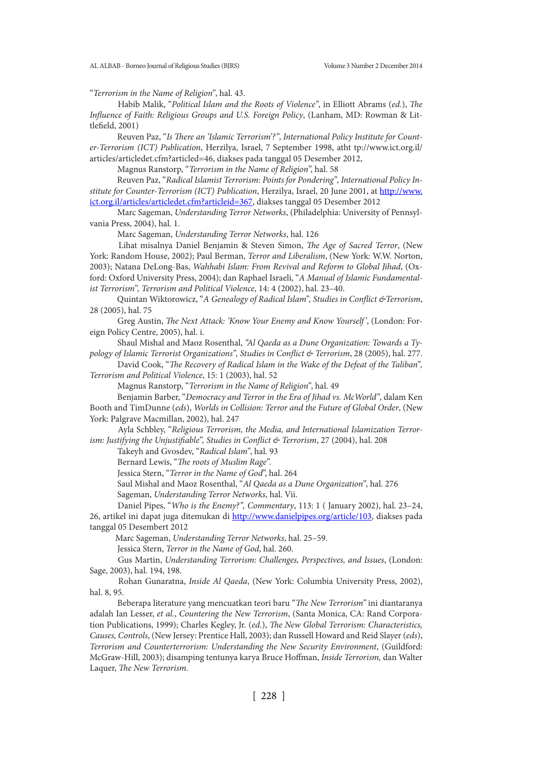"*Terrorism in the Name of Religion"*, hal. 43.

 Habib Malik, "*Political Islam and the Roots of Violence"*, in Elliott Abrams (*ed.*), *The Influence of Faith: Religious Groups and U.S. Foreign Policy*, (Lanham, MD: Rowman & Littlefield, 2001)

 Reuven Paz, "*Is There an 'Islamic Terrorism'?"*, *International Policy Institute for Counter-Terrorism (ICT) Publication*, Herzilya, Israel, 7 September 1998, atht tp://www.ict.org.il/ articles/articledet.cfm?articled=46, diakses pada tanggal 05 Desember 2012,

Magnus Ranstorp, "*Terrorism in the Name of Religion*", hal. 58

 Reuven Paz, "*Radical Islamist Terrorism: Points for Pondering", International Policy In*stitute for Counter-Terrorism (ICT) Publication, Herzilya, Israel, 20 June 2001, at http://www. ict.org.il/articles/articledet.cfm?articleid=367, diakses tanggal 05 Desember 2012

 Marc Sageman, *Understanding Terror Networks*, (Philadelphia: University of Pennsylvania Press, 2004), hal. 1.

Marc Sageman, *Understanding Terror Networks*, hal. 126

 Lihat misalnya Daniel Benjamin & Steven Simon, *The Age of Sacred Terror*, (New York: Random House, 2002); Paul Berman, *Terror and Liberalism*, (New York: W.W. Norton, 2003); Natana DeLong-Bas, *Wahhabi Islam: From Revival and Reform to Global Jihad*, (Oxford: Oxford University Press, 2004); dan Raphael Israeli, "*A Manual of Islamic Fundamentalist Terrorism", Terrorism and Political Violence*, 14: 4 (2002), hal. 23–40.

 Quintan Wiktorowicz, "*A Genealogy of Radical Islam", Studies in Conflict &Terrorism*, 28 (2005), hal. 75

 Greg Austin, *The Next Attack: 'Know Your Enemy and Know Yourself'*, (London: Foreign Policy Centre, 2005), hal. i.

 Shaul Mishal and Maoz Rosenthal, *"Al Qaeda as a Dune Organization: Towards a Typology of Islamic Terrorist Organizations", Studies in Conflict & Terrorism*, 28 (2005), hal. 277.

 David Cook, "*The Recovery of Radical Islam in the Wake of the Defeat of the Taliban", Terrorism and Political Violence*, 15: 1 (2003), hal. 52

Magnus Ranstorp, "*Terrorism in the Name of Religion"*, hal. 49

 Benjamin Barber, "*Democracy and Terror in the Era of Jihad vs. McWorld"*, dalam Ken Booth and TimDunne (*eds*), *Worlds in Collision: Terror and the Future of Global Order*, (New York: Palgrave Macmillan, 2002), hal. 247

 Ayla Schbley, "*Religious Terrorism, the Media, and International Islamization Terrorism: Justifying the Unjustifiable", Studies in Conflict & Terrorism*, 27 (2004), hal. 208

Takeyh and Gvosdev, "*Radical Islam"*, hal. 93

Bernard Lewis, "*The roots of Muslim Rage".*

Jessica Stern, "*Terror in the Name of God*", hal. 264

Saul Mishal and Maoz Rosenthal, "*Al Qaeda as a Dune Organization"*, hal. 276

Sageman, *Understanding Terror Networks*, hal. Vii.

 Daniel Pipes, "*Who is the Enemy?", Commentary*, 113: 1 ( January 2002), hal. 23–24, 26, artikel ini dapat juga ditemukan di http://www.danielpipes.org/article/103, diakses pada tanggal 05 Desembert 2012

Marc Sageman, *Understanding Terror Networks*, hal. 25–59.

Jessica Stern, *Terror in the Name of God*, hal. 260.

 Gus Martin, *Understanding Terrorism: Challenges, Perspectives, and Issues*, (London: Sage, 2003), hal. 194, 198.

 Rohan Gunaratna, *Inside Al Qaeda*, (New York: Columbia University Press, 2002), hal. 8, 95.

 Beberapa literature yang mencuatkan teori baru "*The New Terrorism"* ini diantaranya adalah Ian Lesser, *et al.*, *Countering the New Terrorism*, (Santa Monica, CA: Rand Corporation Publications, 1999); Charles Kegley, Jr. (*ed.*), *The New Global Terrorism: Characteristics, Causes, Controls*, (New Jersey: Prentice Hall, 2003); dan Russell Howard and Reid Slayer (*eds*), *Terrorism and Counterterrorism: Understanding the New Security Environment*, (Guildford: McGraw-Hill, 2003); disamping tentunya karya Bruce Hoffman, *Inside Terrorism,* dan Walter Laquer, *The New Terrorism.*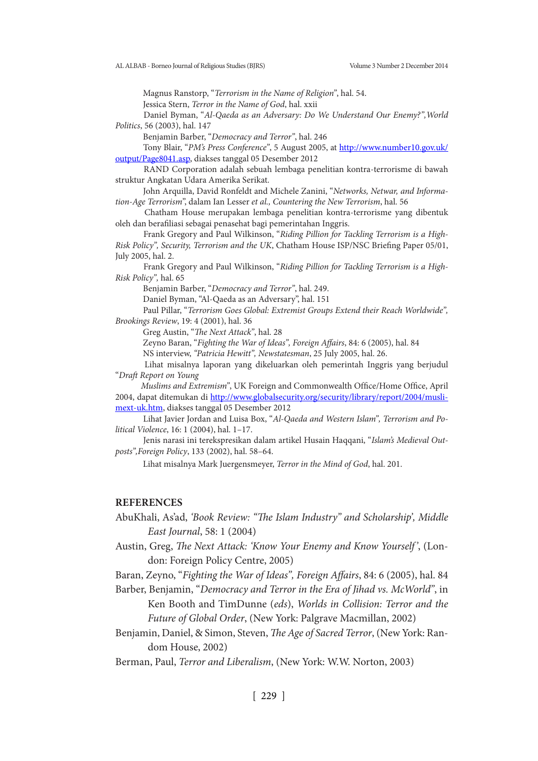Magnus Ranstorp, "*Terrorism in the Name of Religion"*, hal. 54.

Jessica Stern, *Terror in the Name of God*, hal. xxii

 Daniel Byman, "*Al-Qaeda as an Adversary: Do We Understand Our Enemy?",World Politics*, 56 (2003), hal. 147

Benjamin Barber, "*Democracy and Terror"*, hal. 246

Tony Blair, "PM's Press Conference", 5 August 2005, at http://www.number10.gov.uk/ output/Page8041.asp, diakses tanggal 05 Desember 2012

 RAND Corporation adalah sebuah lembaga penelitian kontra-terrorisme di bawah struktur Angkatan Udara Amerika Serikat.

 John Arquilla, David Ronfeldt and Michele Zanini, "*Networks, Netwar, and Information-Age Terrorism*", dalam Ian Lesser *et al., Countering the New Terrorism*, hal. 56

 Chatham House merupakan lembaga penelitian kontra-terrorisme yang dibentuk oleh dan berafiliasi sebagai penasehat bagi pemerintahan Inggris.

 Frank Gregory and Paul Wilkinson, "*Riding Pillion for Tackling Terrorism is a High-Risk Policy", Security, Terrorism and the UK*, Chatham House ISP/NSC Briefing Paper 05/01, July 2005, hal. 2.

 Frank Gregory and Paul Wilkinson, "*Riding Pillion for Tackling Terrorism is a High-Risk Policy",* hal. 65

Benjamin Barber, "*Democracy and Terror"*, hal. 249.

Daniel Byman, "Al-Qaeda as an Adversary", hal. 151

 Paul Pillar, "*Terrorism Goes Global: Extremist Groups Extend their Reach Worldwide", Brookings Review*, 19: 4 (2001), hal. 36

Greg Austin, "*The Next Attack"*, hal. 28

Zeyno Baran, "*Fighting the War of Ideas", Foreign Affairs*, 84: 6 (2005), hal. 84

NS interview, *"Patricia Hewitt", Newstatesman*, 25 July 2005, hal. 26.

 Lihat misalnya laporan yang dikeluarkan oleh pemerintah Inggris yang berjudul "*Draft Report on Young*

*Muslims and Extremism"*, UK Foreign and Commonwealth Office/Home Office, April 2004, dapat ditemukan di http://www.globalsecurity.org/security/library/report/2004/muslimext-uk.htm, diakses tanggal 05 Desember 2012

 Lihat Javier Jordan and Luisa Box, "*Al-Qaeda and Western Islam", Terrorism and Political Violence*, 16: 1 (2004), hal. 1–17.

 Jenis narasi ini terekspresikan dalam artikel Husain Haqqani, "*Islam's Medieval Outposts",Foreign Policy*, 133 (2002), hal. 58–64.

Lihat misalnya Mark Juergensmeyer, *Terror in the Mind of God*, hal. 201.

#### **REFERENCES**

AbuKhali, As'ad, *'Book Review: "The Islam Industry" and Scholarship', Middle East Journal*, 58: 1 (2004)

Austin, Greg, *The Next Attack: 'Know Your Enemy and Know Yourself'*, (London: Foreign Policy Centre, 2005)

Baran, Zeyno, "*Fighting the War of Ideas", Foreign Affairs*, 84: 6 (2005), hal. 84

Barber, Benjamin, "*Democracy and Terror in the Era of Jihad vs. McWorld"*, in Ken Booth and TimDunne (*eds*), *Worlds in Collision: Terror and the Future of Global Order*, (New York: Palgrave Macmillan, 2002)

Benjamin, Daniel, & Simon, Steven, *The Age of Sacred Terror*, (New York: Random House, 2002)

Berman, Paul, *Terror and Liberalism*, (New York: W.W. Norton, 2003)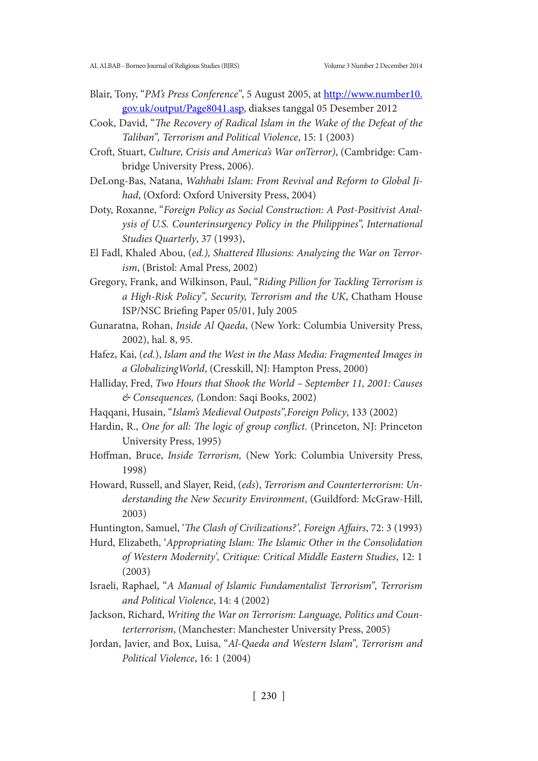- Blair, Tony, "*PM's Press Conference"*, 5 August 2005, at http://www.number10. gov.uk/output/Page8041.asp, diakses tanggal 05 Desember 2012
- Cook, David, "*The Recovery of Radical Islam in the Wake of the Defeat of the Taliban", Terrorism and Political Violence*, 15: 1 (2003)
- Croft, Stuart, *Culture, Crisis and America's War onTerror)*, (Cambridge: Cambridge University Press, 2006).
- DeLong-Bas, Natana, *Wahhabi Islam: From Revival and Reform to Global Jihad*, (Oxford: Oxford University Press, 2004)
- Doty, Roxanne, "*Foreign Policy as Social Construction: A Post-Positivist Analysis of U.S. Counterinsurgency Policy in the Philippines*", *International Studies Quarterly*, 37 (1993),
- El Fadl, Khaled Abou, (*ed.), Shattered Illusions: Analyzing the War on Terrorism*, (Bristol: Amal Press, 2002)
- Gregory, Frank, and Wilkinson, Paul, "*Riding Pillion for Tackling Terrorism is a High-Risk Policy", Security, Terrorism and the UK*, Chatham House ISP/NSC Briefing Paper 05/01, July 2005
- Gunaratna, Rohan, *Inside Al Qaeda*, (New York: Columbia University Press, 2002), hal. 8, 95.
- Hafez, Kai, (*ed.*), *Islam and the West in the Mass Media: Fragmented Images in a GlobalizingWorld*, (Cresskill, NJ: Hampton Press, 2000)
- Halliday, Fred, *Two Hours that Shook the World September 11, 2001: Causes & Consequences, (*London: Saqi Books, 2002)
- Haqqani, Husain, "*Islam's Medieval Outposts",Foreign Policy*, 133 (2002)
- Hardin, R., *One for all: The logic of group conflict*. (Princeton, NJ: Princeton University Press, 1995)
- Hoffman, Bruce, *Inside Terrorism,* (New York: Columbia University Press, 1998)
- Howard, Russell, and Slayer, Reid, (*eds*), *Terrorism and Counterterrorism: Understanding the New Security Environment*, (Guildford: McGraw-Hill, 2003)
- Huntington, Samuel, '*The Clash of Civilizations?', Foreign Affairs*, 72: 3 (1993)
- Hurd, Elizabeth, '*Appropriating Islam: The Islamic Other in the Consolidation of Western Modernity', Critique: Critical Middle Eastern Studies*, 12: 1 (2003)
- Israeli, Raphael, "*A Manual of Islamic Fundamentalist Terrorism", Terrorism and Political Violence*, 14: 4 (2002)
- Jackson, Richard, *Writing the War on Terrorism: Language, Politics and Counterterrorism*, (Manchester: Manchester University Press, 2005)
- Jordan, Javier, and Box, Luisa, "*Al-Qaeda and Western Islam", Terrorism and Political Violence*, 16: 1 (2004)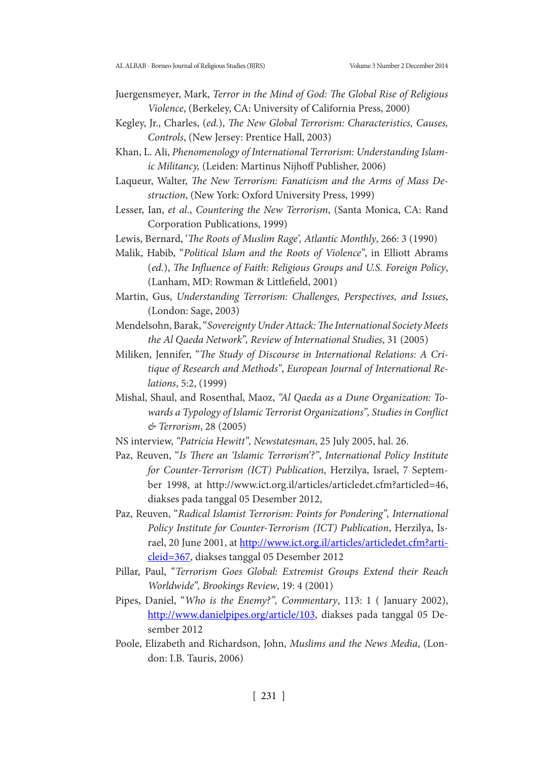- Juergensmeyer, Mark, *Terror in the Mind of God: The Global Rise of Religious Violence*, (Berkeley, CA: University of California Press, 2000)
- Kegley, Jr., Charles, (*ed.*), *The New Global Terrorism: Characteristics, Causes, Controls*, (New Jersey: Prentice Hall, 2003)
- Khan, L. Ali, *Phenomenology of International Terrorism: Understanding Islamic Militancy,* (Leiden: Martinus Nijhoff Publisher, 2006)
- Laqueur, Walter, *The New Terrorism: Fanaticism and the Arms of Mass Destruction*, (New York: Oxford University Press, 1999)
- Lesser, Ian, *et al.*, *Countering the New Terrorism*, (Santa Monica, CA: Rand Corporation Publications, 1999)
- Lewis, Bernard, '*The Roots of Muslim Rage', Atlantic Monthly*, 266: 3 (1990)
- Malik, Habib, "*Political Islam and the Roots of Violence"*, in Elliott Abrams (*ed.*), *The Influence of Faith: Religious Groups and U.S. Foreign Policy*, (Lanham, MD: Rowman & Littlefield, 2001)
- Martin, Gus, *Understanding Terrorism: Challenges, Perspectives, and Issues*, (London: Sage, 2003)
- Mendelsohn, Barak, "*Sovereignty Under Attack: The International Society Meets the Al Qaeda Network", Review of International Studies*, 31 (2005)
- Miliken, Jennifer, "*The Study of Discourse in International Relations: A Critique of Research and Methods"*, *European Journal of International Relations*, 5:2, (1999)
- Mishal, Shaul, and Rosenthal, Maoz, *"Al Qaeda as a Dune Organization: Towards a Typology of Islamic Terrorist Organizations", Studies in Conflict & Terrorism*, 28 (2005)
- NS interview, *"Patricia Hewitt", Newstatesman*, 25 July 2005, hal. 26.
- Paz, Reuven, "*Is There an 'Islamic Terrorism'?"*, *International Policy Institute for Counter-Terrorism (ICT) Publication*, Herzilya, Israel, 7 September 1998, at http://www.ict.org.il/articles/articledet.cfm?articled=46, diakses pada tanggal 05 Desember 2012,
- Paz, Reuven, "*Radical Islamist Terrorism: Points for Pondering", International Policy Institute for Counter-Terrorism (ICT) Publication*, Herzilya, Israel, 20 June 2001, at http://www.ict.org.il/articles/articledet.cfm?articleid=367, diakses tanggal 05 Desember 2012
- Pillar, Paul, "*Terrorism Goes Global: Extremist Groups Extend their Reach Worldwide", Brookings Review*, 19: 4 (2001)
- Pipes, Daniel, "*Who is the Enemy?", Commentary*, 113: 1 ( January 2002), http://www.danielpipes.org/article/103, diakses pada tanggal 05 Desember 2012
- Poole, Elizabeth and Richardson, John, *Muslims and the News Media*, (London: I.B. Tauris, 2006)